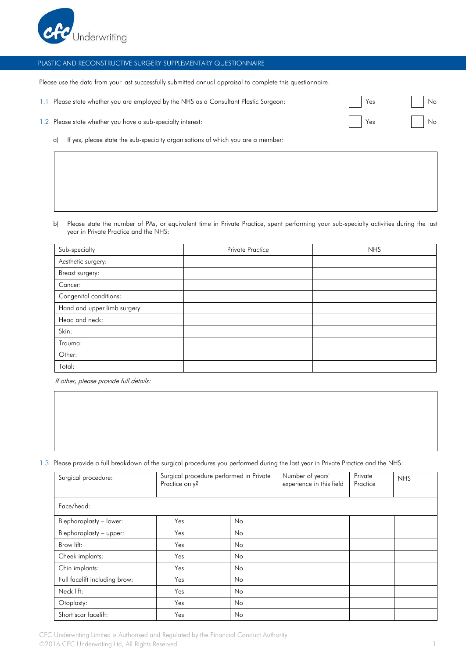

## PLASTIC AND RECONSTRUCTIVE SURGERY SUPPLEMENTARY QUESTIONNAIRE

Please use the data from your last successfully submitted annual appraisal to complete this questionnaire.

|  | 1.1 Please state whether you are emploved by the NHS as a Consultant Plastic Surgeon: | Yes | Nc |
|--|---------------------------------------------------------------------------------------|-----|----|
|--|---------------------------------------------------------------------------------------|-----|----|

| 1.2 Please state whether you have a sub-specialty interest: |  | Ye. |  | Νc |
|-------------------------------------------------------------|--|-----|--|----|
|-------------------------------------------------------------|--|-----|--|----|

a) If yes, please state the sub-specialty organisations of which you are a member:

b) Please state the number of PAs, or equivalent time in Private Practice, spent performing your sub-specialty activities during the last year in Private Practice and the NHS:

| Sub-specialty                | <b>Private Practice</b> | <b>NHS</b> |
|------------------------------|-------------------------|------------|
| Aesthetic surgery:           |                         |            |
| Breast surgery:              |                         |            |
| Cancer:                      |                         |            |
| Congenital conditions:       |                         |            |
| Hand and upper limb surgery: |                         |            |
| Head and neck:               |                         |            |
| Skin:                        |                         |            |
| Trauma:                      |                         |            |
| Other:                       |                         |            |
| Total:                       |                         |            |

If other, please provide full details:

## 1.3 Please provide a full breakdown of the surgical procedures you performed during the last year in Private Practice and the NHS:

| Surgical procedure:           | Practice only? | Surgical procedure performed in Private | Number of years'<br>experience in this field | Private<br>Practice | <b>NHS</b> |
|-------------------------------|----------------|-----------------------------------------|----------------------------------------------|---------------------|------------|
| Face/head:                    |                |                                         |                                              |                     |            |
| Blepharoplasty - lower:       | Yes            | N <sub>o</sub>                          |                                              |                     |            |
| Blepharoplasty - upper:       | Yes            | No.                                     |                                              |                     |            |
| Brow lift:                    | Yes            | No.                                     |                                              |                     |            |
| Cheek implants:               | Yes            | No.                                     |                                              |                     |            |
| Chin implants:                | Yes            | No.                                     |                                              |                     |            |
| Full facelift including brow: | Yes            | No.                                     |                                              |                     |            |
| Neck lift:                    | Yes            | No.                                     |                                              |                     |            |
| Otoplasty:                    | Yes            | No.                                     |                                              |                     |            |
| Short scar facelift:          | Yes            | No.                                     |                                              |                     |            |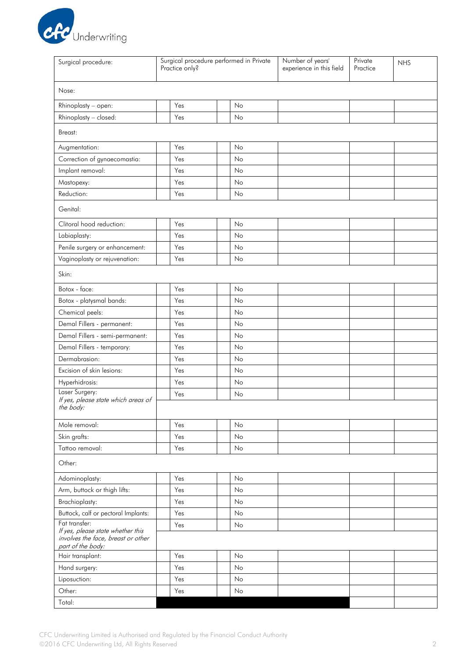

| Surgical procedure:                                                                                           | Surgical procedure performed in Private<br>Practice only? |    | Number of years'<br>experience in this field | Private<br>Practice | <b>NHS</b> |
|---------------------------------------------------------------------------------------------------------------|-----------------------------------------------------------|----|----------------------------------------------|---------------------|------------|
| Nose:                                                                                                         |                                                           |    |                                              |                     |            |
| Rhinoplasty - open:                                                                                           | Yes                                                       | No |                                              |                     |            |
| Rhinoplasty - closed:                                                                                         | Yes                                                       | No |                                              |                     |            |
| Breast:                                                                                                       |                                                           |    |                                              |                     |            |
| Augmentation:                                                                                                 | Yes                                                       | No |                                              |                     |            |
| Correction of gynaecomastia:                                                                                  | Yes                                                       | No |                                              |                     |            |
| Implant removal:                                                                                              | Yes                                                       | No |                                              |                     |            |
| Mastopexy:                                                                                                    | Yes                                                       | No |                                              |                     |            |
| Reduction:                                                                                                    | Yes                                                       | No |                                              |                     |            |
| Genital:                                                                                                      |                                                           |    |                                              |                     |            |
| Clitoral hood reduction:                                                                                      | Yes                                                       | No |                                              |                     |            |
| Labiaplasty:                                                                                                  | Yes                                                       | No |                                              |                     |            |
| Penile surgery or enhancement:                                                                                | Yes                                                       | No |                                              |                     |            |
| Vaginoplasty or rejuvenation:                                                                                 | Yes                                                       | No |                                              |                     |            |
| Skin:                                                                                                         |                                                           |    |                                              |                     |            |
| Botox - face:                                                                                                 | Yes                                                       | No |                                              |                     |            |
| Botox - platysmal bands:                                                                                      | Yes                                                       | No |                                              |                     |            |
| Chemical peels:                                                                                               | Yes                                                       | No |                                              |                     |            |
| Demal Fillers - permanent:                                                                                    | Yes                                                       | No |                                              |                     |            |
| Demal Fillers - semi-permanent:                                                                               | Yes                                                       | No |                                              |                     |            |
| Demal Fillers - temporary:                                                                                    | Yes                                                       | No |                                              |                     |            |
| Dermabrasion:                                                                                                 | Yes                                                       | No |                                              |                     |            |
| Excision of skin lesions:                                                                                     | Yes                                                       | No |                                              |                     |            |
| Hyperhidrosis:                                                                                                | Yes                                                       | No |                                              |                     |            |
| Laser Surgery:<br>If yes, please state which areas of<br>the body:                                            | Yes                                                       | No |                                              |                     |            |
| Mole removal:                                                                                                 | Yes                                                       | No |                                              |                     |            |
| Skin grafts:                                                                                                  | Yes                                                       | No |                                              |                     |            |
| Tattoo removal:                                                                                               | Yes                                                       | No |                                              |                     |            |
| Other:                                                                                                        |                                                           |    |                                              |                     |            |
| Adominoplasty:                                                                                                | Yes                                                       | No |                                              |                     |            |
| Arm, buttock or thigh lifts:                                                                                  | Yes                                                       | No |                                              |                     |            |
| Brachioplasty:                                                                                                | Yes                                                       | No |                                              |                     |            |
| Buttock, calf or pectoral Implants:                                                                           | Yes                                                       | No |                                              |                     |            |
| Fat transfer:<br>If yes, please state whether this<br>involves the face, breast or other<br>part of the body: | Yes                                                       | No |                                              |                     |            |
| Hair transplant:                                                                                              | Yes                                                       | No |                                              |                     |            |
| Hand surgery:                                                                                                 | Yes                                                       | No |                                              |                     |            |
| Liposuction:                                                                                                  | Yes                                                       | No |                                              |                     |            |
| Other:                                                                                                        | Yes                                                       | No |                                              |                     |            |
| Total:                                                                                                        |                                                           |    |                                              |                     |            |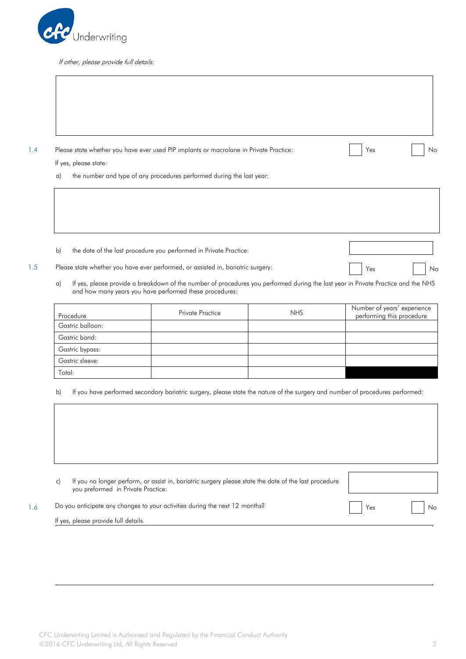

If other, please provide full details:

1.4 Please state whether you have ever used PIP implants or macrolane in Private Practice: No No No No No No No

- If yes, please state: a) the number and type of any procedures performed during the last year:
- b) the date of the last procedure you performed in Private Practice:
- 1.5 Please state whether you have ever performed, or assisted in, bariatric surgery: No Res No Res No No
	-
	- a) If yes, please provide a breakdown of the number of procedures you performed during the last year in Private Practice and the NHS and how many years you have performed these procedures:

| Procedure        | <b>Private Practice</b> | <b>NHS</b> | Number of years' experience<br>performing this procedure |
|------------------|-------------------------|------------|----------------------------------------------------------|
| Gastric balloon: |                         |            |                                                          |
| Gastric band:    |                         |            |                                                          |
| Gastric bypass:  |                         |            |                                                          |
| Gastric sleeve:  |                         |            |                                                          |
| Total:           |                         |            |                                                          |

b) If you have performed secondary bariatric surgery, please state the nature of the surgery and number of procedures performed:

|  | If you no longer perform, or assist in, bariatric surgery please state the date of the last procedure<br>you preformed in Private Practice: |     |  |
|--|---------------------------------------------------------------------------------------------------------------------------------------------|-----|--|
|  | Do you anticipate any changes to your activities during the next 12 months?                                                                 | Yes |  |
|  | If yes, please provide full details.                                                                                                        |     |  |